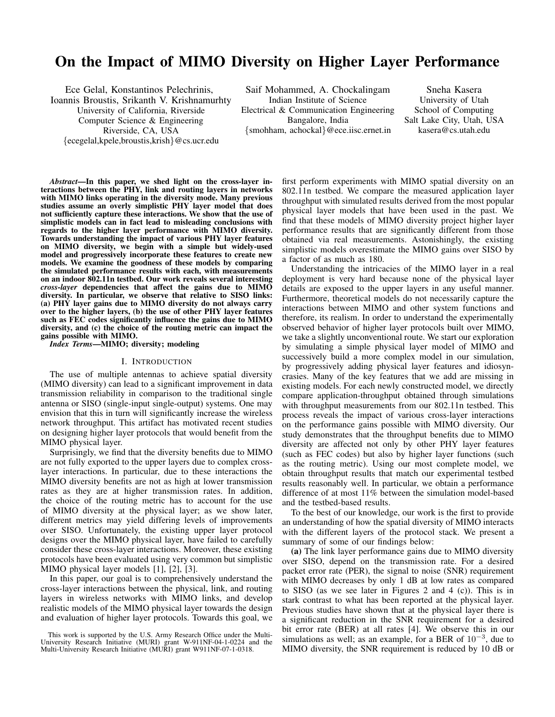# On the Impact of MIMO Diversity on Higher Layer Performance

Ece Gelal, Konstantinos Pelechrinis, Ioannis Broustis, Srikanth V. Krishnamurhty University of California, Riverside Computer Science & Engineering Riverside, CA, USA {ecegelal,kpele,broustis,krish}@cs.ucr.edu

Saif Mohammed, A. Chockalingam Indian Institute of Science Electrical & Communication Engineering Bangalore, India {smohham, achockal}@ece.iisc.ernet.in

Sneha Kasera University of Utah School of Computing Salt Lake City, Utah, USA kasera@cs.utah.edu

*Abstract*—In this paper, we shed light on the cross-layer interactions between the PHY, link and routing layers in networks with MIMO links operating in the diversity mode. Many previous studies assume an overly simplistic PHY layer model that does not sufficiently capture these interactions. We show that the use of simplistic models can in fact lead to misleading conclusions with regards to the higher layer performance with MIMO diversity. Towards understanding the impact of various PHY layer features on MIMO diversity, we begin with a simple but widely-used model and progressively incorporate these features to create new models. We examine the goodness of these models by comparing the simulated performance results with each, with measurements on an indoor 802.11n testbed. Our work reveals several interesting *cross-layer* dependencies that affect the gains due to MIMO diversity. In particular, we observe that relative to SISO links: (a) PHY layer gains due to MIMO diversity do not always carry over to the higher layers, (b) the use of other PHY layer features such as FEC codes significantly influence the gains due to MIMO diversity, and (c) the choice of the routing metric can impact the gains possible with MIMO.

*Index Terms*—MIMO; diversity; modeling

#### I. INTRODUCTION

The use of multiple antennas to achieve spatial diversity (MIMO diversity) can lead to a significant improvement in data transmission reliability in comparison to the traditional single antenna or SISO (single-input single-output) systems. One may envision that this in turn will significantly increase the wireless network throughput. This artifact has motivated recent studies on designing higher layer protocols that would benefit from the MIMO physical layer.

Surprisingly, we find that the diversity benefits due to MIMO are not fully exported to the upper layers due to complex crosslayer interactions. In particular, due to these interactions the MIMO diversity benefits are not as high at lower transmission rates as they are at higher transmission rates. In addition, the choice of the routing metric has to account for the use of MIMO diversity at the physical layer; as we show later, different metrics may yield differing levels of improvements over SISO. Unfortunately, the existing upper layer protocol designs over the MIMO physical layer, have failed to carefully consider these cross-layer interactions. Moreover, these existing protocols have been evaluated using very common but simplistic MIMO physical layer models [1], [2], [3].

In this paper, our goal is to comprehensively understand the cross-layer interactions between the physical, link, and routing layers in wireless networks with MIMO links, and develop realistic models of the MIMO physical layer towards the design and evaluation of higher layer protocols. Towards this goal, we

first perform experiments with MIMO spatial diversity on an 802.11n testbed. We compare the measured application layer throughput with simulated results derived from the most popular physical layer models that have been used in the past. We find that these models of MIMO diversity project higher layer performance results that are significantly different from those obtained via real measurements. Astonishingly, the existing simplistic models overestimate the MIMO gains over SISO by a factor of as much as 180.

Understanding the intricacies of the MIMO layer in a real deployment is very hard because none of the physical layer details are exposed to the upper layers in any useful manner. Furthermore, theoretical models do not necessarily capture the interactions between MIMO and other system functions and therefore, its realism. In order to understand the experimentally observed behavior of higher layer protocols built over MIMO, we take a slightly unconventional route. We start our exploration by simulating a simple physical layer model of MIMO and successively build a more complex model in our simulation, by progressively adding physical layer features and idiosyncrasies. Many of the key features that we add are missing in existing models. For each newly constructed model, we directly compare application-throughput obtained through simulations with throughput measurements from our 802.11n testbed. This process reveals the impact of various cross-layer interactions on the performance gains possible with MIMO diversity. Our study demonstrates that the throughput benefits due to MIMO diversity are affected not only by other PHY layer features (such as FEC codes) but also by higher layer functions (such as the routing metric). Using our most complete model, we obtain throughput results that match our experimental testbed results reasonably well. In particular, we obtain a performance difference of at most 11% between the simulation model-based and the testbed-based results.

To the best of our knowledge, our work is the first to provide an understanding of how the spatial diversity of MIMO interacts with the different layers of the protocol stack. We present a summary of some of our findings below:

(a) The link layer performance gains due to MIMO diversity over SISO, depend on the transmission rate. For a desired packet error rate (PER), the signal to noise (SNR) requirement with MIMO decreases by only 1 dB at low rates as compared to SISO (as we see later in Figures 2 and 4 (c)). This is in stark contrast to what has been reported at the physical layer. Previous studies have shown that at the physical layer there is a significant reduction in the SNR requirement for a desired bit error rate (BER) at all rates [4]. We observe this in our simulations as well; as an example, for a BER of  $10^{-3}$ , due to MIMO diversity, the SNR requirement is reduced by 10 dB or

This work is supported by the U.S. Army Research Office under the Multi-University Research Initiative (MURI) grant W-911NF-04-1-0224 and the Multi-University Research Initiative (MURI) grant W911NF-07-1-0318.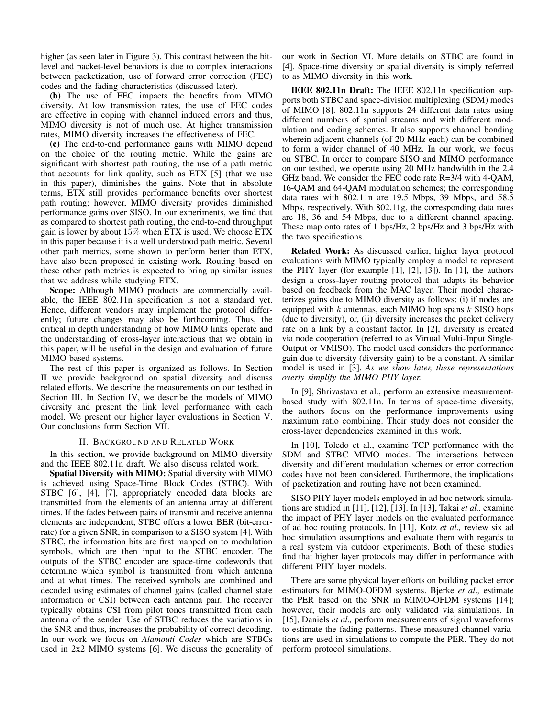higher (as seen later in Figure 3). This contrast between the bitlevel and packet-level behaviors is due to complex interactions between packetization, use of forward error correction (FEC) codes and the fading characteristics (discussed later).

(b) The use of FEC impacts the benefits from MIMO diversity. At low transmission rates, the use of FEC codes are effective in coping with channel induced errors and thus, MIMO diversity is not of much use. At higher transmission rates, MIMO diversity increases the effectiveness of FEC.

(c) The end-to-end performance gains with MIMO depend on the choice of the routing metric. While the gains are significant with shortest path routing, the use of a path metric that accounts for link quality, such as ETX [5] (that we use in this paper), diminishes the gains. Note that in absolute terms, ETX still provides performance benefits over shortest path routing; however, MIMO diversity provides diminished performance gains over SISO. In our experiments, we find that as compared to shortest path routing, the end-to-end throughput gain is lower by about  $15\%$  when ETX is used. We choose ETX in this paper because it is a well understood path metric. Several other path metrics, some shown to perform better than ETX, have also been proposed in existing work. Routing based on these other path metrics is expected to bring up similar issues that we address while studying ETX.

Scope: Although MIMO products are commercially available, the IEEE 802.11n specification is not a standard yet. Hence, different vendors may implement the protocol differently; future changes may also be forthcoming. Thus, the critical in depth understanding of how MIMO links operate and the understanding of cross-layer interactions that we obtain in this paper, will be useful in the design and evaluation of future MIMO-based systems.

The rest of this paper is organized as follows. In Section II we provide background on spatial diversity and discuss related efforts. We describe the measurements on our testbed in Section III. In Section IV, we describe the models of MIMO diversity and present the link level performance with each model. We present our higher layer evaluations in Section V. Our conclusions form Section VII.

## II. BACKGROUND AND RELATED WORK

In this section, we provide background on MIMO diversity and the IEEE 802.11n draft. We also discuss related work.

Spatial Diversity with MIMO: Spatial diversity with MIMO is achieved using Space-Time Block Codes (STBC). With STBC [6], [4], [7], appropriately encoded data blocks are transmitted from the elements of an antenna array at different times. If the fades between pairs of transmit and receive antenna elements are independent, STBC offers a lower BER (bit-errorrate) for a given SNR, in comparison to a SISO system [4]. With STBC, the information bits are first mapped on to modulation symbols, which are then input to the STBC encoder. The outputs of the STBC encoder are space-time codewords that determine which symbol is transmitted from which antenna and at what times. The received symbols are combined and decoded using estimates of channel gains (called channel state information or CSI) between each antenna pair. The receiver typically obtains CSI from pilot tones transmitted from each antenna of the sender. Use of STBC reduces the variations in the SNR and thus, increases the probability of correct decoding. In our work we focus on *Alamouti Codes* which are STBCs used in 2x2 MIMO systems [6]. We discuss the generality of

our work in Section VI. More details on STBC are found in [4]. Space-time diversity or spatial diversity is simply referred to as MIMO diversity in this work.

IEEE 802.11n Draft: The IEEE 802.11n specification supports both STBC and space-division multiplexing (SDM) modes of MIMO [8]. 802.11n supports 24 different data rates using different numbers of spatial streams and with different modulation and coding schemes. It also supports channel bonding wherein adjacent channels (of 20 MHz each) can be combined to form a wider channel of 40 MHz. In our work, we focus on STBC. In order to compare SISO and MIMO performance on our testbed, we operate using 20 MHz bandwidth in the 2.4 GHz band. We consider the FEC code rate R=3/4 with 4-QAM, 16-QAM and 64-QAM modulation schemes; the corresponding data rates with 802.11n are 19.5 Mbps, 39 Mbps, and 58.5 Mbps, respectively. With 802.11g, the corresponding data rates are 18, 36 and 54 Mbps, due to a different channel spacing. These map onto rates of 1 bps/Hz, 2 bps/Hz and 3 bps/Hz with the two specifications.

Related Work: As discussed earlier, higher layer protocol evaluations with MIMO typically employ a model to represent the PHY layer (for example [1], [2], [3]). In [1], the authors design a cross-layer routing protocol that adapts its behavior based on feedback from the MAC layer. Their model characterizes gains due to MIMO diversity as follows: (i) if nodes are equipped with  $k$  antennas, each MIMO hop spans  $k$  SISO hops (due to diversity), or, (ii) diversity increases the packet delivery rate on a link by a constant factor. In [2], diversity is created via node cooperation (referred to as Virtual Multi-Input Single-Output or VMISO). The model used considers the performance gain due to diversity (diversity gain) to be a constant. A similar model is used in [3]. *As we show later, these representations overly simplify the MIMO PHY layer.*

In [9], Shrivastava et al., perform an extensive measurementbased study with 802.11n. In terms of space-time diversity, the authors focus on the performance improvements using maximum ratio combining. Their study does not consider the cross-layer dependencies examined in this work.

In [10], Toledo et al., examine TCP performance with the SDM and STBC MIMO modes. The interactions between diversity and different modulation schemes or error correction codes have not been considered. Furthermore, the implications of packetization and routing have not been examined.

SISO PHY layer models employed in ad hoc network simulations are studied in [11], [12], [13]. In [13], Takai *et al.,* examine the impact of PHY layer models on the evaluated performance of ad hoc routing protocols. In [11], Kotz *et al.,* review six ad hoc simulation assumptions and evaluate them with regards to a real system via outdoor experiments. Both of these studies find that higher layer protocols may differ in performance with different PHY layer models.

There are some physical layer efforts on building packet error estimators for MIMO-OFDM systems. Bjerke *et al.,* estimate the PER based on the SNR in MIMO-OFDM systems [14]; however, their models are only validated via simulations. In [15], Daniels *et al.,* perform measurements of signal waveforms to estimate the fading patterns. These measured channel variations are used in simulations to compute the PER. They do not perform protocol simulations.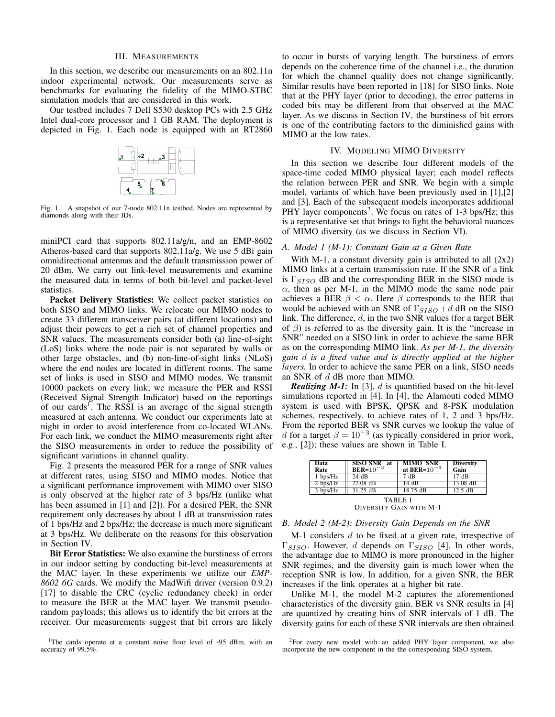## III. MEASUREMENTS

In this section, we describe our measurements on an 802.11n indoor experimental network. Our measurements serve as benchmarks for evaluating the fidelity of the MIMO-STBC simulation models that are considered in this work.

Our testbed includes 7 Dell S530 desktop PCs with 2.5 GHz Intel dual-core processor and 1 GB RAM. The deployment is depicted in Fig. 1. Each node is equipped with an RT2860



Fig. 1. A snapshot of our 7-node 802.11n testbed. Nodes are represented by diamonds along with their IDs.

miniPCI card that supports 802.11a/g/n, and an EMP-8602 Atheros-based card that supports 802.11a/g. We use 5 dBi gain omnidirectional antennas and the default transmission power of 20 dBm. We carry out link-level measurements and examine the measured data in terms of both bit-level and packet-level statistics.

Packet Delivery Statistics: We collect packet statistics on both SISO and MIMO links. We relocate our MIMO nodes to create 33 different transceiver pairs (at different locations) and adjust their powers to get a rich set of channel properties and SNR values. The measurements consider both (a) line-of-sight (LoS) links where the node pair is not separated by walls or other large obstacles, and (b) non-line-of-sight links (NLoS) where the end nodes are located in different rooms. The same set of links is used in SISO and MIMO modes. We transmit 10000 packets on every link; we measure the PER and RSSI (Received Signal Strength Indicator) based on the reportings of our cards<sup>1</sup>. The RSSI is an average of the signal strength measured at each antenna. We conduct our experiments late at night in order to avoid interference from co-located WLANs. For each link, we conduct the MIMO measurements right after the SISO measurements in order to reduce the possibility of significant variations in channel quality.

Fig. 2 presents the measured PER for a range of SNR values at different rates, using SISO and MIMO modes. Notice that a significant performance improvement with MIMO over SISO is only observed at the higher rate of 3 bps/Hz (unlike what has been assumed in [1] and [2]). For a desired PER, the SNR requirement only decreases by about 1 dB at transmission rates of 1 bps/Hz and 2 bps/Hz; the decrease is much more significant at 3 bps/Hz. We deliberate on the reasons for this observation in Section IV.

Bit Error Statistics: We also examine the burstiness of errors in our indoor setting by conducting bit-level measurements at the MAC layer. In these experiments we utilize our *EMP-8602 6G* cards. We modify the MadWifi driver (version 0.9.2) [17] to disable the CRC (cyclic redundancy check) in order to measure the BER at the MAC layer. We transmit pseudorandom payloads; this allows us to identify the bit errors at the receiver. Our measurements suggest that bit errors are likely

to occur in bursts of varying length. The burstiness of errors depends on the coherence time of the channel i.e., the duration for which the channel quality does not change significantly. Similar results have been reported in [18] for SISO links. Note that at the PHY layer (prior to decoding), the error patterns in coded bits may be different from that observed at the MAC layer. As we discuss in Section IV, the burstiness of bit errors is one of the contributing factors to the diminished gains with MIMO at the low rates.

## IV. MODELING MIMO DIVERSITY

In this section we describe four different models of the space-time coded MIMO physical layer; each model reflects the relation between PER and SNR. We begin with a simple model, variants of which have been previously used in [1],[2] and [3]. Each of the subsequent models incorporates additional PHY layer components<sup>2</sup>. We focus on rates of 1-3 bps/Hz; this is a representative set that brings to light the behavioral nuances of MIMO diversity (as we discuss in Section VI).

## *A. Model 1 (M-1): Constant Gain at a Given Rate*

With M-1, a constant diversity gain is attributed to all  $(2x2)$ MIMO links at a certain transmission rate. If the SNR of a link is  $\Gamma_{SISO}$  dB and the corresponding BER in the SISO mode is  $\alpha$ , then as per M-1, in the MIMO mode the same node pair achieves a BER  $\beta < \alpha$ . Here  $\beta$  corresponds to the BER that would be achieved with an SNR of  $\Gamma_{SISO} + d$  dB on the SISO link. The difference, d, in the two SNR values (for a target BER of  $\beta$ ) is referred to as the diversity gain. It is the "increase in SNR" needed on a SISO link in order to achieve the same BER as on the corresponding MIMO link. *As per M-1, the diversity gain* d *is a fixed value and is directly applied at the higher layers.* In order to achieve the same PER on a link, SISO needs an SNR of d dB more than MIMO.

*Realizing M-1:* In [3], d is quantified based on the bit-level simulations reported in [4]. In [4], the Alamouti coded MIMO system is used with BPSK, QPSK and 8-PSK modulation schemes, respectively, to achieve rates of 1, 2 and 3 bps/Hz. From the reported BER vs SNR curves we lookup the value of d for a target  $\beta = 10^{-3}$  (as typically considered in prior work, e.g., [2]); these values are shown in Table I.

| Data<br>Rate                       | SISO SNR at<br>BER= $10^{-3}$ | <b>MIMO SNR</b><br>at BER= $10^{-3}$ | <b>Diversity</b><br>Gain |  |  |  |
|------------------------------------|-------------------------------|--------------------------------------|--------------------------|--|--|--|
| $1$ bps/Hz                         | 24 dB                         | 7 dB                                 | 17dB                     |  |  |  |
| $2$ bps/Hz                         | $27.08$ dB                    | 14 dB                                | $13.08$ dB               |  |  |  |
| $3 \text{ bps/Hz}$                 | $31.25$ dB                    | $18.75 \text{ dB}$                   | $12.5 \text{ dB}$        |  |  |  |
| TABLE I<br>DIVERSITY GAIN WITH M-1 |                               |                                      |                          |  |  |  |

### *B. Model 2 (M-2): Diversity Gain Depends on the SNR*

 $M-1$  considers d to be fixed at a given rate, irrespective of  $\Gamma_{SISO}$ . However, d depends on  $\Gamma_{SISO}$  [4]. In other words, the advantage due to MIMO is more pronounced in the higher SNR regimes, and the diversity gain is much lower when the reception SNR is low. In addition, for a given SNR, the BER increases if the link operates at a higher bit rate.

Unlike M-1, the model M-2 captures the aforementioned characteristics of the diversity gain. BER vs SNR results in [4] are quantized by creating bins of SNR intervals of 1 dB. The diversity gains for each of these SNR intervals are then obtained

<sup>&</sup>lt;sup>1</sup>The cards operate at a constant noise floor level of -95 dBm, with an accuracy of  $99.5\%$ .

<sup>2</sup>For every new model with an added PHY layer component, we also incorporate the new component in the the corresponding SISO system.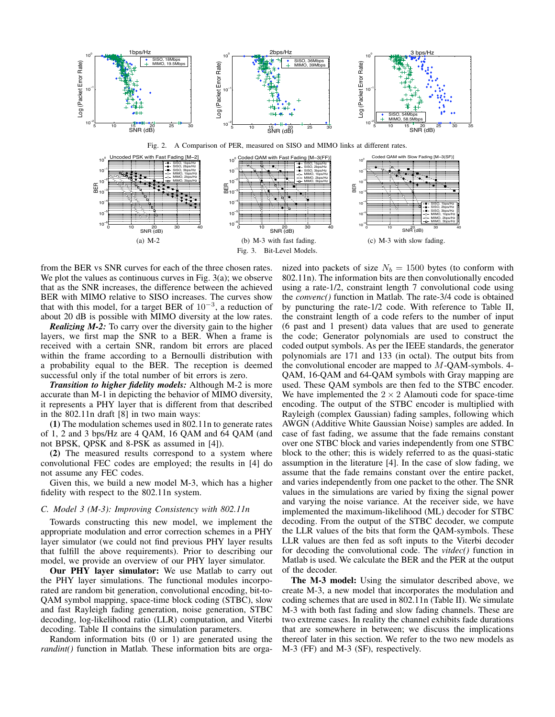

from the BER vs SNR curves for each of the three chosen rates. We plot the values as continuous curves in Fig.  $3(a)$ ; we observe that as the SNR increases, the difference between the achieved BER with MIMO relative to SISO increases. The curves show that with this model, for a target BER of  $10^{-3}$ , a reduction of about 20 dB is possible with MIMO diversity at the low rates.

*Realizing M-2:* To carry over the diversity gain to the higher layers, we first map the SNR to a BER. When a frame is received with a certain SNR, random bit errors are placed within the frame according to a Bernoulli distribution with a probability equal to the BER. The reception is deemed successful only if the total number of bit errors is zero.

*Transition to higher fidelity models:* Although M-2 is more accurate than M-1 in depicting the behavior of MIMO diversity, it represents a PHY layer that is different from that described in the 802.11n draft [8] in two main ways:

(1) The modulation schemes used in 802.11n to generate rates of 1, 2 and 3 bps/Hz are 4 QAM, 16 QAM and 64 QAM (and not BPSK, QPSK and 8-PSK as assumed in [4]).

(2) The measured results correspond to a system where convolutional FEC codes are employed; the results in [4] do not assume any FEC codes.

Given this, we build a new model M-3, which has a higher fidelity with respect to the 802.11n system.

## *C. Model 3 (M-3): Improving Consistency with 802.11n*

Towards constructing this new model, we implement the appropriate modulation and error correction schemes in a PHY layer simulator (we could not find previous PHY layer results that fulfill the above requirements). Prior to describing our model, we provide an overview of our PHY layer simulator.

Our PHY layer simulator: We use Matlab to carry out the PHY layer simulations. The functional modules incorporated are random bit generation, convolutional encoding, bit-to-QAM symbol mapping, space-time block coding (STBC), slow and fast Rayleigh fading generation, noise generation, STBC decoding, log-likelihood ratio (LLR) computation, and Viterbi decoding. Table II contains the simulation parameters.

Random information bits (0 or 1) are generated using the *randint()* function in Matlab. These information bits are orga-

nized into packets of size  $N_b = 1500$  bytes (to conform with 802.11n). The information bits are then convolutionally encoded using a rate-1/2, constraint length 7 convolutional code using the *convenc()* function in Matlab. The rate-3/4 code is obtained by puncturing the rate-1/2 code. With reference to Table II, the constraint length of a code refers to the number of input (6 past and 1 present) data values that are used to generate the code; Generator polynomials are used to construct the coded output symbols. As per the IEEE standards, the generator polynomials are 171 and 133 (in octal). The output bits from the convolutional encoder are mapped to  $M$ -OAM-symbols. 4-QAM, 16-QAM and 64-QAM symbols with Gray mapping are used. These QAM symbols are then fed to the STBC encoder. We have implemented the  $2 \times 2$  Alamouti code for space-time encoding. The output of the STBC encoder is multiplied with Rayleigh (complex Gaussian) fading samples, following which AWGN (Additive White Gaussian Noise) samples are added. In case of fast fading, we assume that the fade remains constant over one STBC block and varies independently from one STBC block to the other; this is widely referred to as the quasi-static assumption in the literature [4]. In the case of slow fading, we assume that the fade remains constant over the entire packet, and varies independently from one packet to the other. The SNR values in the simulations are varied by fixing the signal power and varying the noise variance. At the receiver side, we have implemented the maximum-likelihood (ML) decoder for STBC decoding. From the output of the STBC decoder, we compute the LLR values of the bits that form the QAM-symbols. These LLR values are then fed as soft inputs to the Viterbi decoder for decoding the convolutional code. The *vitdec()* function in Matlab is used. We calculate the BER and the PER at the output of the decoder.

The M-3 model: Using the simulator described above, we create M-3, a new model that incorporates the modulation and coding schemes that are used in 802.11n (Table II). We simulate M-3 with both fast fading and slow fading channels. These are two extreme cases. In reality the channel exhibits fade durations that are somewhere in between; we discuss the implications thereof later in this section. We refer to the two new models as M-3 (FF) and M-3 (SF), respectively.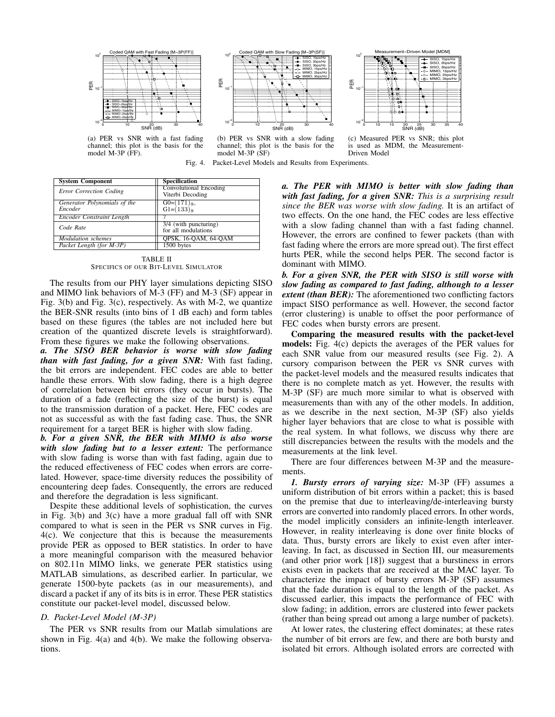

(a) PER vs SNR with a fast fading channel; this plot is the basis for the model M-3P (FF).



(b) PER vs SNR with a slow fading channel; this plot is the basis for the model M-3P (SF)



(c) Measured PER vs SNR; this plot is used as MDM, the Measurement-Driven Model

Fig. 4. Packet-Level Models and Results from Experiments.

| <b>System Component</b>          | <b>Specification</b>                              |
|----------------------------------|---------------------------------------------------|
| Error Correction Coding          | <b>Convolutional Encoding</b><br>Viterbi Decoding |
| Generator Polynomials of the     | $G0=(171)_8,$                                     |
| Encoder                          | $G1=(133)8$                                       |
| <b>Encoder Constraint Length</b> |                                                   |
| Code Rate                        | 3/4 (with puncturing)                             |
|                                  | for all modulations                               |
| <b>Modulation</b> schemes        | <b>OPSK, 16-QAM, 64-QAM</b>                       |
| Packet Length (for M-3P)         | 1500 bytes                                        |

TABLE II SPECIFICS OF OUR BIT-LEVEL SIMULATOR

The results from our PHY layer simulations depicting SISO and MIMO link behaviors of M-3 (FF) and M-3 (SF) appear in Fig. 3(b) and Fig. 3(c), respectively. As with M-2, we quantize the BER-SNR results (into bins of 1 dB each) and form tables based on these figures (the tables are not included here but creation of the quantized discrete levels is straightforward). From these figures we make the following observations.

*a. The SISO BER behavior is worse with slow fading than with fast fading, for a given SNR:* With fast fading, the bit errors are independent. FEC codes are able to better handle these errors. With slow fading, there is a high degree of correlation between bit errors (they occur in bursts). The duration of a fade (reflecting the size of the burst) is equal to the transmission duration of a packet. Here, FEC codes are not as successful as with the fast fading case. Thus, the SNR requirement for a target BER is higher with slow fading.

*b. For a given SNR, the BER with MIMO is also worse with slow fading but to a lesser extent:* The performance with slow fading is worse than with fast fading, again due to the reduced effectiveness of FEC codes when errors are correlated. However, space-time diversity reduces the possibility of encountering deep fades. Consequently, the errors are reduced and therefore the degradation is less significant.

Despite these additional levels of sophistication, the curves in Fig. 3(b) and 3(c) have a more gradual fall off with SNR compared to what is seen in the PER vs SNR curves in Fig. 4(c). We conjecture that this is because the measurements provide PER as opposed to BER statistics. In order to have a more meaningful comparison with the measured behavior on 802.11n MIMO links, we generate PER statistics using MATLAB simulations, as described earlier. In particular, we generate 1500-byte packets (as in our measurements), and discard a packet if any of its bits is in error. These PER statistics constitute our packet-level model, discussed below.

## *D. Packet-Level Model (M-3P)*

The PER vs SNR results from our Matlab simulations are shown in Fig. 4(a) and 4(b). We make the following observations.

*a. The PER with MIMO is better with slow fading than with fast fading, for a given SNR: This is a surprising result since the BER was worse with slow fading.* It is an artifact of two effects. On the one hand, the FEC codes are less effective with a slow fading channel than with a fast fading channel. However, the errors are confined to fewer packets (than with fast fading where the errors are more spread out). The first effect hurts PER, while the second helps PER. The second factor is dominant with MIMO.

*b. For a given SNR, the PER with SISO is still worse with slow fading as compared to fast fading, although to a lesser extent (than BER)*: The aforementioned two conflicting factors impact SISO performance as well. However, the second factor (error clustering) is unable to offset the poor performance of FEC codes when bursty errors are present.

Comparing the measured results with the packet-level models: Fig. 4(c) depicts the averages of the PER values for each SNR value from our measured results (see Fig. 2). A cursory comparison between the PER vs SNR curves with the packet-level models and the measured results indicates that there is no complete match as yet. However, the results with M-3P (SF) are much more similar to what is observed with measurements than with any of the other models. In addition, as we describe in the next section, M-3P (SF) also yields higher layer behaviors that are close to what is possible with the real system. In what follows, we discuss why there are still discrepancies between the results with the models and the measurements at the link level.

There are four differences between M-3P and the measurements.

*1. Bursty errors of varying size:* M-3P (FF) assumes a uniform distribution of bit errors within a packet; this is based on the premise that due to interleaving/de-interleaving bursty errors are converted into randomly placed errors. In other words, the model implicitly considers an infinite-length interleaver. However, in reality interleaving is done over finite blocks of data. Thus, bursty errors are likely to exist even after interleaving. In fact, as discussed in Section III, our measurements (and other prior work [18]) suggest that a burstiness in errors exists even in packets that are received at the MAC layer. To characterize the impact of bursty errors M-3P (SF) assumes that the fade duration is equal to the length of the packet. As discussed earlier, this impacts the performance of FEC with slow fading; in addition, errors are clustered into fewer packets (rather than being spread out among a large number of packets).

At lower rates, the clustering effect dominates; at these rates the number of bit errors are few, and there are both bursty and isolated bit errors. Although isolated errors are corrected with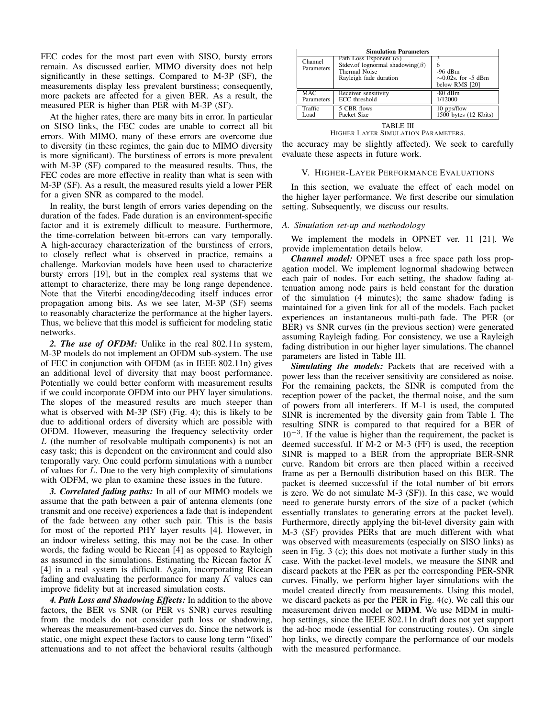FEC codes for the most part even with SISO, bursty errors remain. As discussed earlier, MIMO diversity does not help significantly in these settings. Compared to M-3P (SF), the measurements display less prevalent burstiness; consequently, more packets are affected for a given BER. As a result, the measured PER is higher than PER with M-3P (SF).

At the higher rates, there are many bits in error. In particular on SISO links, the FEC codes are unable to correct all bit errors. With MIMO, many of these errors are overcome due to diversity (in these regimes, the gain due to MIMO diversity is more significant). The burstiness of errors is more prevalent with M-3P (SF) compared to the measured results. Thus, the FEC codes are more effective in reality than what is seen with M-3P (SF). As a result, the measured results yield a lower PER for a given SNR as compared to the model.

In reality, the burst length of errors varies depending on the duration of the fades. Fade duration is an environment-specific factor and it is extremely difficult to measure. Furthermore, the time-correlation between bit-errors can vary temporally. A high-accuracy characterization of the burstiness of errors, to closely reflect what is observed in practice, remains a challenge. Markovian models have been used to characterize bursty errors [19], but in the complex real systems that we attempt to characterize, there may be long range dependence. Note that the Viterbi encoding/decoding itself induces error propagation among bits. As we see later, M-3P (SF) seems to reasonably characterize the performance at the higher layers. Thus, we believe that this model is sufficient for modeling static networks.

*2. The use of OFDM:* Unlike in the real 802.11n system, M-3P models do not implement an OFDM sub-system. The use of FEC in conjunction with OFDM (as in IEEE 802.11n) gives an additional level of diversity that may boost performance. Potentially we could better conform with measurement results if we could incorporate OFDM into our PHY layer simulations. The slopes of the measured results are much steeper than what is observed with M-3P (SF) (Fig. 4); this is likely to be due to additional orders of diversity which are possible with OFDM. However, measuring the frequency selectivity order  $L$  (the number of resolvable multipath components) is not an easy task; this is dependent on the environment and could also temporally vary. One could perform simulations with a number of values for L. Due to the very high complexity of simulations with ODFM, we plan to examine these issues in the future.

*3. Correlated fading paths:* In all of our MIMO models we assume that the path between a pair of antenna elements (one transmit and one receive) experiences a fade that is independent of the fade between any other such pair. This is the basis for most of the reported PHY layer results [4]. However, in an indoor wireless setting, this may not be the case. In other words, the fading would be Ricean [4] as opposed to Rayleigh as assumed in the simulations. Estimating the Ricean factor K [4] in a real system is difficult. Again, incorporating Ricean fading and evaluating the performance for many  $K$  values can improve fidelity but at increased simulation costs.

*4. Path Loss and Shadowing Effects:* In addition to the above factors, the BER vs SNR (or PER vs SNR) curves resulting from the models do not consider path loss or shadowing, whereas the measurement-based curves do. Since the network is static, one might expect these factors to cause long term "fixed" attenuations and to not affect the behavioral results (although

| <b>Simulation Parameters</b> |                                                                                                                            |                                                               |  |  |  |
|------------------------------|----------------------------------------------------------------------------------------------------------------------------|---------------------------------------------------------------|--|--|--|
| Channel<br>Parameters        | Path Loss Exponent $(\alpha)$<br>Stdev.of lognormal shadowing( $\beta$ )<br><b>Thermal Noise</b><br>Rayleigh fade duration | 6<br>$-96$ dBm<br>$\sim 0.02$ s. for -5 dBm<br>below RMS [20] |  |  |  |
| MAC.                         | Receiver sensitivity                                                                                                       | $-80$ dBm                                                     |  |  |  |
| Parameters                   | ECC threshold                                                                                                              | 1/12000                                                       |  |  |  |
| Traffic                      | 5 CBR flows                                                                                                                | 10 pps/flow                                                   |  |  |  |
| Load                         | Packet Size                                                                                                                | 1500 bytes (12 Kbits)                                         |  |  |  |
| TABLE III                    |                                                                                                                            |                                                               |  |  |  |

HIGHER LAYER SIMULATION PARAMETERS.

the accuracy may be slightly affected). We seek to carefully evaluate these aspects in future work.

## V. HIGHER-LAYER PERFORMANCE EVALUATIONS

In this section, we evaluate the effect of each model on the higher layer performance. We first describe our simulation setting. Subsequently, we discuss our results.

## *A. Simulation set-up and methodology*

We implement the models in OPNET ver. 11 [21]. We provide implementation details below.

*Channel model:* OPNET uses a free space path loss propagation model. We implement lognormal shadowing between each pair of nodes. For each setting, the shadow fading attenuation among node pairs is held constant for the duration of the simulation (4 minutes); the same shadow fading is maintained for a given link for all of the models. Each packet experiences an instantaneous multi-path fade. The PER (or BER) vs SNR curves (in the previous section) were generated assuming Rayleigh fading. For consistency, we use a Rayleigh fading distribution in our higher layer simulations. The channel parameters are listed in Table III.

*Simulating the models:* Packets that are received with a power less than the receiver sensitivity are considered as noise. For the remaining packets, the SINR is computed from the reception power of the packet, the thermal noise, and the sum of powers from all interferers. If M-1 is used, the computed SINR is incremented by the diversity gain from Table I. The resulting SINR is compared to that required for a BER of  $10^{-3}$ . If the value is higher than the requirement, the packet is deemed successful. If M-2 or M-3 (FF) is used, the reception SINR is mapped to a BER from the appropriate BER-SNR curve. Random bit errors are then placed within a received frame as per a Bernoulli distribution based on this BER. The packet is deemed successful if the total number of bit errors is zero. We do not simulate M-3 (SF)). In this case, we would need to generate bursty errors of the size of a packet (which essentially translates to generating errors at the packet level). Furthermore, directly applying the bit-level diversity gain with M-3 (SF) provides PERs that are much different with what was observed with measurements (especially on SISO links) as seen in Fig. 3 (c); this does not motivate a further study in this case. With the packet-level models, we measure the SINR and discard packets at the PER as per the corresponding PER-SNR curves. Finally, we perform higher layer simulations with the model created directly from measurements. Using this model, we discard packets as per the PER in Fig. 4(c). We call this our measurement driven model or MDM. We use MDM in multihop settings, since the IEEE 802.11n draft does not yet support the ad-hoc mode (essential for constructing routes). On single hop links, we directly compare the performance of our models with the measured performance.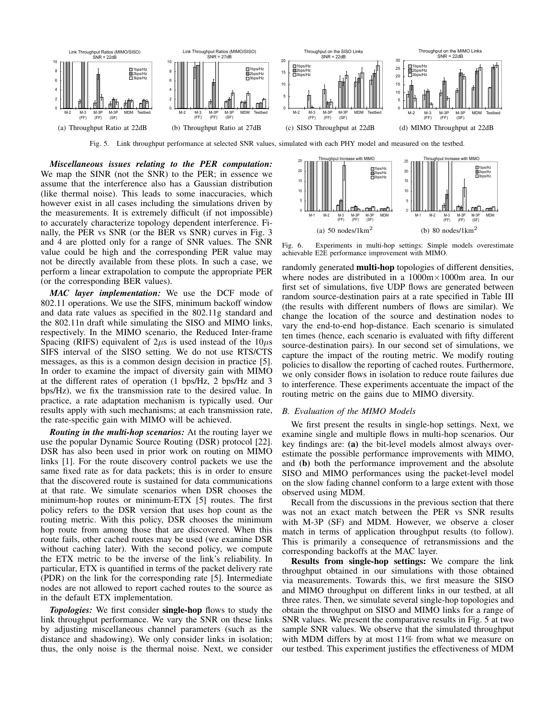

Fig. 5. Link throughput performance at selected SNR values, simulated with each PHY model and measured on the testbed.

*Miscellaneous issues relating to the PER computation:* We map the SINR (not the SNR) to the PER; in essence we assume that the interference also has a Gaussian distribution (like thermal noise). This leads to some inaccuracies, which however exist in all cases including the simulations driven by the measurements. It is extremely difficult (if not impossible) to accurately characterize topology dependent interference. Finally, the PER vs SNR (or the BER vs SNR) curves in Fig. 3 and 4 are plotted only for a range of SNR values. The SNR value could be high and the corresponding PER value may not be directly available from these plots. In such a case, we perform a linear extrapolation to compute the appropriate PER (or the corresponding BER values).

*MAC layer implementation:* We use the DCF mode of 802.11 operations. We use the SIFS, minimum backoff window and data rate values as specified in the 802.11g standard and the 802.11n draft while simulating the SISO and MIMO links, respectively. In the MIMO scenario, the Reduced Inter-frame Spacing (RIFS) equivalent of  $2\mu s$  is used instead of the  $10\mu s$ SIFS interval of the SISO setting. We do not use RTS/CTS messages, as this is a common design decision in practice [5]. In order to examine the impact of diversity gain with MIMO at the different rates of operation (1 bps/Hz, 2 bps/Hz and 3 bps/Hz), we fix the transmission rate to the desired value. In practice, a rate adaptation mechanism is typically used. Our results apply with such mechanisms; at each transmission rate, the rate-specific gain with MIMO will be achieved.

*Routing in the multi-hop scenarios:* At the routing layer we use the popular Dynamic Source Routing (DSR) protocol [22]. DSR has also been used in prior work on routing on MIMO links [1]. For the route discovery control packets we use the same fixed rate as for data packets; this is in order to ensure that the discovered route is sustained for data communications at that rate. We simulate scenarios when DSR chooses the minimum-hop routes or minimum-ETX [5] routes. The first policy refers to the DSR version that uses hop count as the routing metric. With this policy, DSR chooses the minimum hop route from among those that are discovered. When this route fails, other cached routes may be used (we examine DSR without caching later). With the second policy, we compute the ETX metric to be the inverse of the link's reliability. In particular, ETX is quantified in terms of the packet delivery rate (PDR) on the link for the corresponding rate [5]. Intermediate nodes are not allowed to report cached routes to the source as in the default ETX implementation.

**Topologies:** We first consider **single-hop** flows to study the link throughput performance. We vary the SNR on these links by adjusting miscellaneous channel parameters (such as the distance and shadowing). We only consider links in isolation; thus, the only noise is the thermal noise. Next, we consider



Fig. 6. Experiments in multi-hop settings: Simple models overestimate achievable E2E performance improvement with MIMO.

randomly generated **multi-hop** topologies of different densities, where nodes are distributed in a 1000m×1000m area. In our first set of simulations, five UDP flows are generated between random source-destination pairs at a rate specified in Table III (the results with different numbers of flows are similar). We change the location of the source and destination nodes to vary the end-to-end hop-distance. Each scenario is simulated ten times (hence, each scenario is evaluated with fifty different source-destination pairs). In our second set of simulations, we capture the impact of the routing metric. We modify routing policies to disallow the reporting of cached routes. Furthermore, we only consider flows in isolation to reduce route failures due to interference. These experiments accentuate the impact of the routing metric on the gains due to MIMO diversity.

### *B. Evaluation of the MIMO Models*

We first present the results in single-hop settings. Next, we examine single and multiple flows in multi-hop scenarios. Our key findings are: (a) the bit-level models almost always overestimate the possible performance improvements with MIMO, and (b) both the performance improvement and the absolute SISO and MIMO performances using the packet-level model on the slow fading channel conform to a large extent with those observed using MDM.

Recall from the discussions in the previous section that there was not an exact match between the PER vs SNR results with M-3P (SF) and MDM. However, we observe a closer match in terms of application throughput results (to follow). This is primarily a consequence of retransmissions and the corresponding backoffs at the MAC layer.

Results from single-hop settings: We compare the link throughput obtained in our simulations with those obtained via measurements. Towards this, we first measure the SISO and MIMO throughput on different links in our testbed, at all three rates. Then, we simulate several single-hop topologies and obtain the throughput on SISO and MIMO links for a range of SNR values. We present the comparative results in Fig. 5 at two sample SNR values. We observe that the simulated throughput with MDM differs by at most 11% from what we measure on our testbed. This experiment justifies the effectiveness of MDM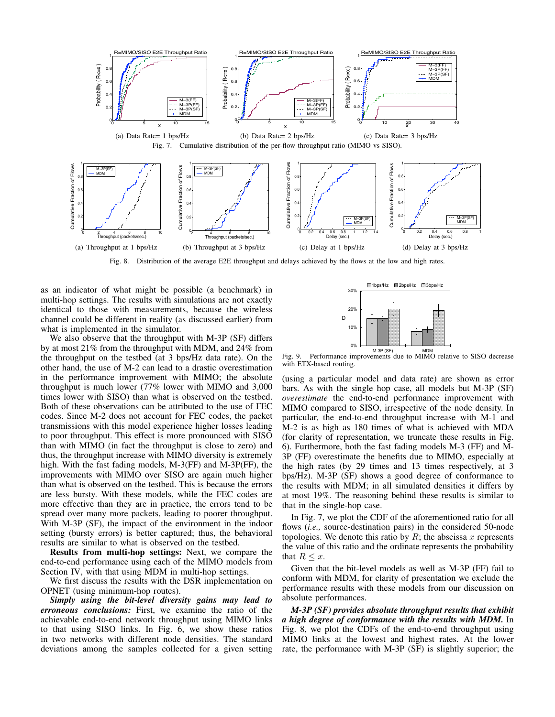

Fig. 8. Distribution of the average E2E throughput and delays achieved by the flows at the low and high rates.

as an indicator of what might be possible (a benchmark) in multi-hop settings. The results with simulations are not exactly identical to those with measurements, because the wireless channel could be different in reality (as discussed earlier) from what is implemented in the simulator.

We also observe that the throughput with M-3P (SF) differs by at most 21% from the throughput with MDM, and 24% from the throughput on the testbed (at 3 bps/Hz data rate). On the other hand, the use of M-2 can lead to a drastic overestimation in the performance improvement with MIMO; the absolute throughput is much lower (77% lower with MIMO and 3,000 times lower with SISO) than what is observed on the testbed. Both of these observations can be attributed to the use of FEC codes. Since M-2 does not account for FEC codes, the packet transmissions with this model experience higher losses leading to poor throughput. This effect is more pronounced with SISO than with MIMO (in fact the throughput is close to zero) and thus, the throughput increase with MIMO diversity is extremely high. With the fast fading models, M-3(FF) and M-3P(FF), the improvements with MIMO over SISO are again much higher than what is observed on the testbed. This is because the errors are less bursty. With these models, while the FEC codes are more effective than they are in practice, the errors tend to be spread over many more packets, leading to poorer throughput. With M-3P (SF), the impact of the environment in the indoor setting (bursty errors) is better captured; thus, the behavioral results are similar to what is observed on the testbed.

Results from multi-hop settings: Next, we compare the end-to-end performance using each of the MIMO models from Section IV, with that using MDM in multi-hop settings.

We first discuss the results with the DSR implementation on OPNET (using minimum-hop routes).

*Simply using the bit-level diversity gains may lead to erroneous conclusions:* First, we examine the ratio of the achievable end-to-end network throughput using MIMO links to that using SISO links. In Fig. 6, we show these ratios in two networks with different node densities. The standard deviations among the samples collected for a given setting



M-3P (SF)<br>Fig. 9. Performance improvements due to MIMO relative to SISO decrease with ETX-based routing.

(using a particular model and data rate) are shown as error bars. As with the single hop case, all models but M-3P (SF) *overestimate* the end-to-end performance improvement with MIMO compared to SISO, irrespective of the node density. In particular, the end-to-end throughput increase with M-1 and M-2 is as high as 180 times of what is achieved with MDA (for clarity of representation, we truncate these results in Fig. 6). Furthermore, both the fast fading models M-3 (FF) and M-3P (FF) overestimate the benefits due to MIMO, especially at the high rates (by 29 times and 13 times respectively, at 3 bps/Hz). M-3P (SF) shows a good degree of conformance to the results with MDM; in all simulated densities it differs by at most 19%. The reasoning behind these results is similar to that in the single-hop case.

In Fig. 7, we plot the CDF of the aforementioned ratio for all flows (*i.e.*, source-destination pairs) in the considered 50-node topologies. We denote this ratio by  $R$ ; the abscissa  $x$  represents the value of this ratio and the ordinate represents the probability that  $R \leq x$ .

Given that the bit-level models as well as M-3P (FF) fail to conform with MDM, for clarity of presentation we exclude the performance results with these models from our discussion on absolute performances.

*M-3P (SF) provides absolute throughput results that exhibit a high degree of conformance with the results with MDM.* In Fig. 8, we plot the CDFs of the end-to-end throughput using MIMO links at the lowest and highest rates. At the lower rate, the performance with M-3P (SF) is slightly superior; the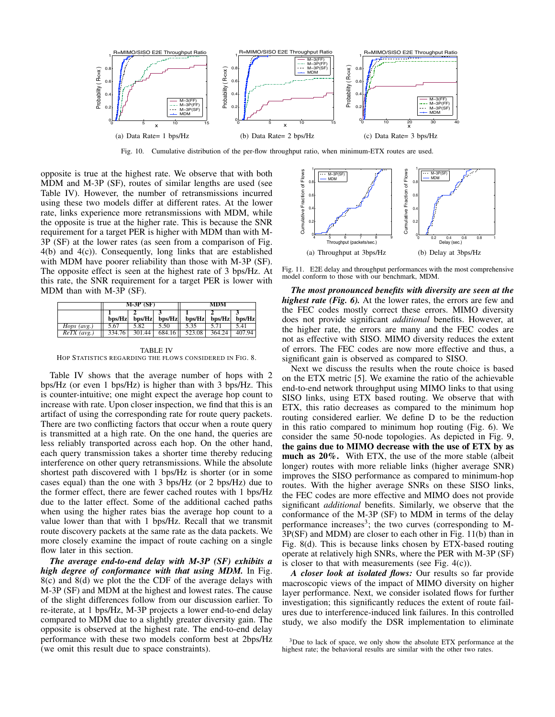

Fig. 10. Cumulative distribution of the per-flow throughput ratio, when minimum-ETX routes are used.

opposite is true at the highest rate. We observe that with both MDM and M-3P (SF), routes of similar lengths are used (see Table IV). However, the number of retransmissions incurred using these two models differ at different rates. At the lower rate, links experience more retransmissions with MDM, while the opposite is true at the higher rate. This is because the SNR requirement for a target PER is higher with MDM than with M-3P (SF) at the lower rates (as seen from a comparison of Fig. 4(b) and 4(c)). Consequently, long links that are established with MDM have poorer reliability than those with M-3P (SF). The opposite effect is seen at the highest rate of 3 bps/Hz. At this rate, the SNR requirement for a target PER is lower with MDM than with M-3P (SF).

|                      | $M-3P(SF)$ |        | <b>MDM</b>        |        |                      |        |
|----------------------|------------|--------|-------------------|--------|----------------------|--------|
|                      | $b$ ps/Hz  |        | $bps/Hz$ $bps/Hz$ |        | bps/Hz bps/Hz bps/Hz |        |
| <i>Hops</i> $(avg.)$ | 5.67       | 5.82   | 5.50              | 5.35   |                      | 5.41   |
| $ReTX$ (avg.)        | 334.76     | 301.44 | 684.16 II         | 523.08 | 364.24               | 407.94 |

TABLE IV HOP STATISTICS REGARDING THE FLOWS CONSIDERED IN FIG. 8.

Table IV shows that the average number of hops with 2 bps/Hz (or even 1 bps/Hz) is higher than with 3 bps/Hz. This is counter-intuitive; one might expect the average hop count to increase with rate. Upon closer inspection, we find that this is an artifact of using the corresponding rate for route query packets. There are two conflicting factors that occur when a route query is transmitted at a high rate. On the one hand, the queries are less reliably transported across each hop. On the other hand, each query transmission takes a shorter time thereby reducing interference on other query retransmissions. While the absolute shortest path discovered with 1 bps/Hz is shorter (or in some cases equal) than the one with 3 bps/Hz (or 2 bps/Hz) due to the former effect, there are fewer cached routes with 1 bps/Hz due to the latter effect. Some of the additional cached paths when using the higher rates bias the average hop count to a value lower than that with 1 bps/Hz. Recall that we transmit route discovery packets at the same rate as the data packets. We more closely examine the impact of route caching on a single flow later in this section.

*The average end-to-end delay with M-3P (SF) exhibits a high degree of conformance with that using MDM.* In Fig. 8(c) and 8(d) we plot the the CDF of the average delays with M-3P (SF) and MDM at the highest and lowest rates. The cause of the slight differences follow from our discussion earlier. To re-iterate, at 1 bps/Hz, M-3P projects a lower end-to-end delay compared to MDM due to a slightly greater diversity gain. The opposite is observed at the highest rate. The end-to-end delay performance with these two models conform best at 2bps/Hz (we omit this result due to space constraints).



Fig. 11. E2E delay and throughput performances with the most comprehensive model conform to those with our benchmark, MDM.

*The most pronounced benefits with diversity are seen at the highest rate (Fig. 6).* At the lower rates, the errors are few and the FEC codes mostly correct these errors. MIMO diversity does not provide significant *additional* benefits. However, at the higher rate, the errors are many and the FEC codes are not as effective with SISO. MIMO diversity reduces the extent of errors. The FEC codes are now more effective and thus, a significant gain is observed as compared to SISO.

Next we discuss the results when the route choice is based on the ETX metric [5]. We examine the ratio of the achievable end-to-end network throughput using MIMO links to that using SISO links, using ETX based routing. We observe that with ETX, this ratio decreases as compared to the minimum hop routing considered earlier. We define D to be the reduction in this ratio compared to minimum hop routing (Fig. 6). We consider the same 50-node topologies. As depicted in Fig. 9, the gains due to MIMO decrease with the use of ETX by as much as 20%. With ETX, the use of the more stable (albeit longer) routes with more reliable links (higher average SNR) improves the SISO performance as compared to minimum-hop routes. With the higher average SNRs on these SISO links, the FEC codes are more effective and MIMO does not provide significant *additional* benefits. Similarly, we observe that the conformance of the M-3P (SF) to MDM in terms of the delay performance increases<sup>3</sup>; the two curves (corresponding to  $\overline{M}$ -3P(SF) and MDM) are closer to each other in Fig. 11(b) than in Fig. 8(d). This is because links chosen by ETX-based routing operate at relatively high SNRs, where the PER with M-3P (SF) is closer to that with measurements (see Fig. 4(c)).

*A closer look at isolated flows:* Our results so far provide macroscopic views of the impact of MIMO diversity on higher layer performance. Next, we consider isolated flows for further investigation; this significantly reduces the extent of route failures due to interference-induced link failures. In this controlled study, we also modify the DSR implementation to eliminate

<sup>&</sup>lt;sup>3</sup>Due to lack of space, we only show the absolute ETX performance at the highest rate; the behavioral results are similar with the other two rates.